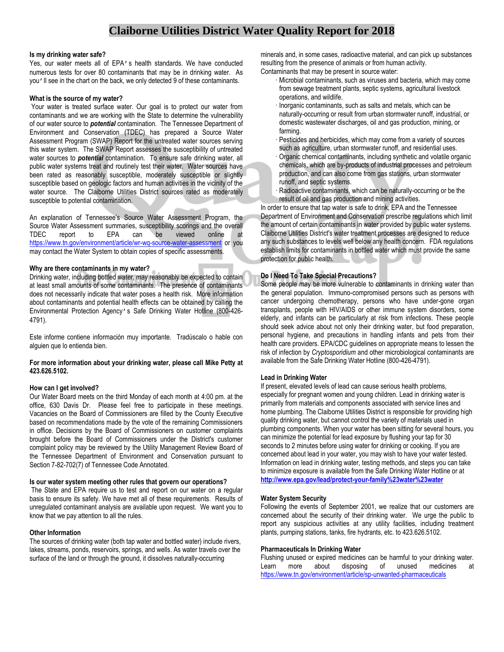# **Claiborne Utilities District Water Quality Report for 2018**

#### **Is my drinking water safe?**

Yes, our water meets all of EPA's health standards. We have conducted numerous tests for over 80 contaminants that may be in drinking water. As you'll see in the chart on the back, we only detected 9 of these contaminants.

#### **What is the source of my water?**

Your water is treated surface water. Our goal is to protect our water from contaminants and we are working with the State to determine the vulnerability of our water source to *potential* contamination. The Tennessee Department of Environment and Conservation (TDEC) has prepared a Source Water Assessment Program (SWAP) Report for the untreated water sources serving this water system. The SWAP Report assesses the susceptibility of untreated water sources to *potential* contamination. To ensure safe drinking water, all public water systems treat and routinely test their water. Water sources have been rated as reasonably susceptible, moderately susceptible or slightly susceptible based on geologic factors and human activities in the vicinity of the water source. The Claiborne Utilities District sources rated as moderately susceptible to potential contamination.

An explanation of Tennessee's Source Water Assessment Program, the Source Water Assessment summaries, susceptibility scorings and the overall TDEC report to EPA can be viewed online at <https://www.tn.gov/environment/article/wr-wq-source-water-assessment> or you may contact the Water System to obtain copies of specific assessments.

#### **Why are there contaminants in my water?**

Drinking water, including bottled water, may reasonably be expected to contain at least small amounts of some contaminants. The presence of contaminants does not necessarily indicate that water poses a health risk. More information about contaminants and potential health effects can be obtained by calling the Environmental Protection Agency's Safe Drinking Water Hotline (800-426- 4791).

Este informe contiene información muy importante. Tradúscalo o hable con alguien que lo entienda bien.

# **For more information about your drinking water, please call Mike Petty at 423.626.5102.**

# **How can I get involved?**

Our Water Board meets on the third Monday of each month at 4:00 pm. at the office, 630 Davis Dr. Please feel free to participate in these meetings. Vacancies on the Board of Commissioners are filled by the County Executive based on recommendations made by the vote of the remaining Commissioners in office. Decisions by the Board of Commissioners on customer complaints brought before the Board of Commissioners under the District's customer complaint policy may be reviewed by the Utility Management Review Board of the Tennessee Department of Environment and Conservation pursuant to Section 7-82-702(7) of Tennessee Code Annotated.

# **Is our water system meeting other rules that govern our operations?**

The State and EPA require us to test and report on our water on a regular basis to ensure its safety. We have met all of these requirements. Results of unregulated contaminant analysis are available upon request. We want you to know that we pay attention to all the rules.

# **Other Information**

The sources of drinking water (both tap water and bottled water) include rivers, lakes, streams, ponds, reservoirs, springs, and wells. As water travels over the surface of the land or through the ground, it dissolves naturally-occurring

minerals and, in some cases, radioactive material, and can pick up substances resulting from the presence of animals or from human activity. Contaminants that may be present in source water:

- · Microbial contaminants, such as viruses and bacteria, which may come from sewage treatment plants, septic systems, agricultural livestock operations, and wildlife.
- · Inorganic contaminants, such as salts and metals, which can be naturally-occurring or result from urban stormwater runoff, industrial, or domestic wastewater discharges, oil and gas production, mining, or farming.
- Pesticides and herbicides, which may come from a variety of sources such as agriculture, urban stormwater runoff, and residential uses.
- · Organic chemical contaminants, including synthetic and volatile organic chemicals, which are by-products of industrial processes and petroleum production, and can also come from gas stations, urban stormwater runoff, and septic systems.
- Radioactive contaminants, which can be naturally-occurring or be the result of oil and gas production and mining activities.

In order to ensure that tap water is safe to drink, EPA and the Tennessee Department of Environment and Conservation prescribe regulations which limit the amount of certain contaminants in water provided by public water systems. Claiborne Utilities District's water treatment processes are designed to reduce any such substances to levels well below any health concern. FDA regulations establish limits for contaminants in bottled water which must provide the same protection for public health.

# **Do I Need To Take Special Precautions?**

Some people may be more vulnerable to contaminants in drinking water than the general population. Immuno-compromised persons such as persons with cancer undergoing chemotherapy, persons who have under-gone organ transplants, people with HIV/AIDS or other immune system disorders, some elderly, and infants can be particularly at risk from infections. These people should seek advice about not only their drinking water, but food preparation, personal hygiene, and precautions in handling infants and pets from their health care providers. EPA/CDC guidelines on appropriate means to lessen the risk of infection by *Cryptosporidium* and other microbiological contaminants are available from the Safe Drinking Water Hotline (800-426-4791).

# **Lead in Drinking Water**

If present, elevated levels of lead can cause serious health problems, especially for pregnant women and young children. Lead in drinking water is primarily from materials and components associated with service lines and home plumbing. The Claiborne Utilities District is responsible for providing high quality drinking water, but cannot control the variety of materials used in plumbing components. When your water has been sitting for several hours, you can minimize the potential for lead exposure by flushing your tap for 30 seconds to 2 minutes before using water for drinking or cooking. If you are concerned about lead in your water, you may wish to have your water tested. Information on lead in drinking water, testing methods, and steps you can take to minimize exposure is available from the Safe Drinking Water Hotline or at **<http://www.epa.gov/lead/protect-your-family%23water%23water>**

# **Water System Security**

Following the events of September 2001, we realize that our customers are concerned about the security of their drinking water. We urge the public to report any suspicious activities at any utility facilities, including treatment plants, pumping stations, tanks, fire hydrants, etc. to 423.626.5102.

# **Pharmaceuticals In Drinking Water**

Flushing unused or expired medicines can be harmful to your drinking water. Learn more about disposing of unused medicines at <https://www.tn.gov/environment/article/sp-unwanted-pharmaceuticals>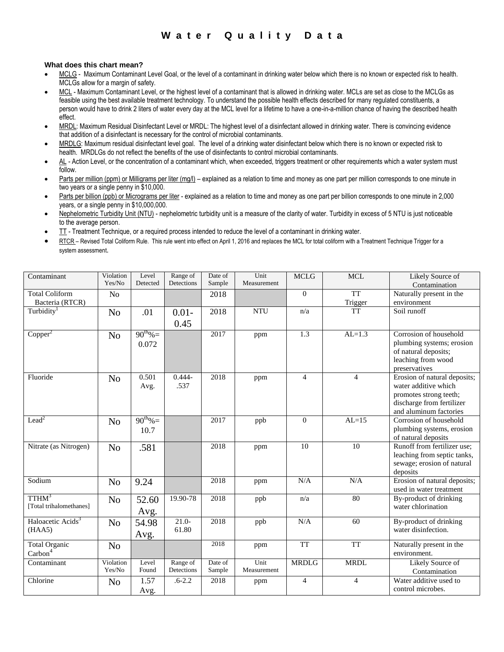# **W a t e r Q u a l i t y D a t a**

# **What does this chart mean?**

- MCLG Maximum Contaminant Level Goal, or the level of a contaminant in drinking water below which there is no known or expected risk to health. MCLGs allow for a margin of safety.
- MCL Maximum Contaminant Level, or the highest level of a contaminant that is allowed in drinking water. MCLs are set as close to the MCLGs as feasible using the best available treatment technology. To understand the possible health effects described for many regulated constituents, a person would have to drink 2 liters of water every day at the MCL level for a lifetime to have a one-in-a-million chance of having the described health effect.
- MRDL: Maximum Residual Disinfectant Level or MRDL: The highest level of a disinfectant allowed in drinking water. There is convincing evidence that addition of a disinfectant is necessary for the control of microbial contaminants.
- MRDLG: Maximum residual disinfectant level goal. The level of a drinking water disinfectant below which there is no known or expected risk to health. MRDLGs do not reflect the benefits of the use of disinfectants to control microbial contaminants.
- AL Action Level, or the concentration of a contaminant which, when exceeded, triggers treatment or other requirements which a water system must follow.
- Parts per million (ppm) or Milligrams per liter (mg/l) explained as a relation to time and money as one part per million corresponds to one minute in two years or a single penny in \$10,000.
- Parts per billion (ppb) or Micrograms per liter explained as a relation to time and money as one part per billion corresponds to one minute in 2,000 years, or a single penny in \$10,000,000.
- Nephelometric Turbidity Unit (NTU) nephelometric turbidity unit is a measure of the clarity of water. Turbidity in excess of 5 NTU is just noticeable to the average person.
- TT Treatment Technique, or a required process intended to reduce the level of a contaminant in drinking water.
- RTCR Revised Total Coliform Rule. This rule went into effect on April 1, 2016 and replaces the MCL for total coliform with a Treatment Technique Trigger for a system assessment.

| Contaminant                   | Violation<br>Yes/No | Level<br>Detected | Range of<br>Detections | Date of<br>Sample | Unit<br>Measurement | <b>MCLG</b>      | <b>MCL</b>     | Likely Source of                                    |
|-------------------------------|---------------------|-------------------|------------------------|-------------------|---------------------|------------------|----------------|-----------------------------------------------------|
| <b>Total Coliform</b>         | N <sub>o</sub>      |                   |                        | 2018              |                     | $\mathbf{0}$     | <b>TT</b>      | Contamination<br>Naturally present in the           |
| Bacteria (RTCR)               |                     |                   |                        |                   |                     |                  | Trigger        | environment                                         |
| Turbidity <sup>1</sup>        | No                  | .01               | $0.01 -$               | 2018              | <b>NTU</b>          | n/a              | <b>TT</b>      | Soil runoff                                         |
|                               |                     |                   | 0.45                   |                   |                     |                  |                |                                                     |
| Copper <sup>2</sup>           | N <sub>o</sub>      | $90^{th}\% =$     |                        | 2017              | ppm                 | $\overline{1.3}$ | $AL=1.3$       | Corrosion of household                              |
|                               |                     | 0.072             |                        |                   |                     |                  |                | plumbing systems; erosion                           |
|                               |                     |                   |                        |                   |                     |                  |                | of natural deposits;<br>leaching from wood          |
|                               |                     |                   |                        |                   |                     |                  |                | preservatives                                       |
| Fluoride                      | N <sub>o</sub>      | 0.501             | $0.444 -$              | 2018              | ppm                 | $\overline{4}$   | $\overline{4}$ | Erosion of natural deposits;                        |
|                               |                     | Avg.              | .537                   |                   |                     |                  |                | water additive which                                |
|                               |                     |                   |                        |                   |                     |                  |                | promotes strong teeth;                              |
|                               |                     |                   |                        |                   |                     |                  |                | discharge from fertilizer<br>and aluminum factories |
| Lead <sup>2</sup>             |                     | $90^{th}\% =$     |                        | 2017              | ppb                 | $\Omega$         | $AL=15$        | Corrosion of household                              |
|                               | N <sub>o</sub>      | 10.7              |                        |                   |                     |                  |                | plumbing systems, erosion                           |
|                               |                     |                   |                        |                   |                     |                  |                | of natural deposits                                 |
| Nitrate (as Nitrogen)         | N <sub>o</sub>      | .581              |                        | 2018              | ppm                 | 10               | 10             | Runoff from fertilizer use;                         |
|                               |                     |                   |                        |                   |                     |                  |                | leaching from septic tanks,                         |
|                               |                     |                   |                        |                   |                     |                  |                | sewage; erosion of natural                          |
|                               |                     |                   |                        |                   |                     |                  |                | deposits                                            |
| Sodium                        | N <sub>o</sub>      | 9.24              |                        | 2018              | ppm                 | N/A              | N/A            | Erosion of natural deposits;                        |
| TTHM <sup>3</sup>             |                     |                   | 19.90-78               | 2018              |                     | n/a              | 80             | used in water treatment<br>By-product of drinking   |
| [Total trihalomethanes]       | N <sub>o</sub>      | 52.60             |                        |                   | ppb                 |                  |                | water chlorination                                  |
|                               |                     | Avg.              |                        |                   |                     |                  |                |                                                     |
| Haloacetic Acids <sup>3</sup> | N <sub>o</sub>      | 54.98             | $21.0 -$               | 2018              | ppb                 | N/A              | 60             | By-product of drinking                              |
| (HAA5)                        |                     | Avg.              | 61.80                  |                   |                     |                  |                | water disinfection.                                 |
| Total Organic                 | No                  |                   |                        | 2018              | ppm                 | <b>TT</b>        | <b>TT</b>      | Naturally present in the                            |
| Carbon <sup>4</sup>           |                     |                   |                        |                   |                     |                  |                | environment.                                        |
| Contaminant                   | Violation           | Level             | Range of               | Date of           | Unit                | <b>MRDLG</b>     | <b>MRDL</b>    | Likely Source of                                    |
|                               | Yes/No              | Found             | Detections             | Sample            | Measurement         |                  |                | Contamination                                       |
| Chlorine                      | N <sub>o</sub>      | 1.57              | $.6 - 2.2$             | 2018              | ppm                 | $\overline{4}$   | $\overline{4}$ | Water additive used to                              |
|                               |                     | Avg.              |                        |                   |                     |                  |                | control microbes.                                   |